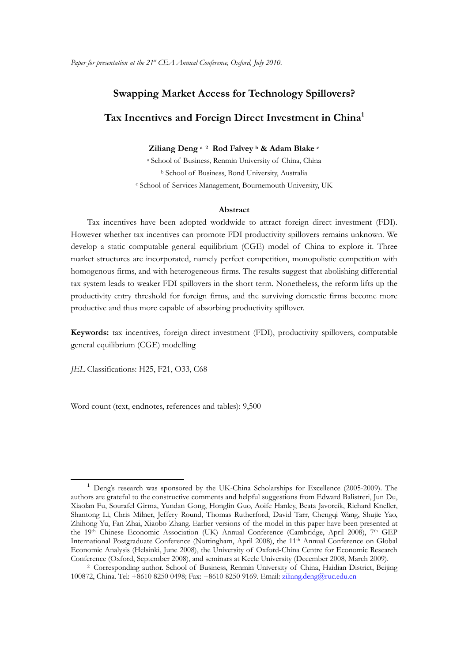# **Swapping Market Access for Technology Spillovers? Tax Incentives and Foreign Direct Investment in China1**

#### **Ziliang Deng a 2 Rod Falvey b & Adam Blake c**

a School of Business, Renmin University of China, China b School of Business, Bond University, Australia c School of Services Management, Bournemouth University, UK

#### **Abstract**

Tax incentives have been adopted worldwide to attract foreign direct investment (FDI). However whether tax incentives can promote FDI productivity spillovers remains unknown. We develop a static computable general equilibrium (CGE) model of China to explore it. Three market structures are incorporated, namely perfect competition, monopolistic competition with homogenous firms, and with heterogeneous firms. The results suggest that abolishing differential tax system leads to weaker FDI spillovers in the short term. Nonetheless, the reform lifts up the productivity entry threshold for foreign firms, and the surviving domestic firms become more productive and thus more capable of absorbing productivity spillover.

**Keywords:** tax incentives, foreign direct investment (FDI), productivity spillovers, computable general equilibrium (CGE) modelling

*JEL* Classifications: H25, F21, O33, C68

Word count (text, endnotes, references and tables): 9,500

<sup>&</sup>lt;sup>1</sup> Deng's research was sponsored by the UK-China Scholarships for Excellence (2005-2009). The authors are grateful to the constructive comments and helpful suggestions from Edward Balistreri, Jun Du, Xiaolan Fu, Sourafel Girma, Yundan Gong, Honglin Guo, Aoife Hanley, Beata Javorcik, Richard Kneller, Shantong Li, Chris Milner, Jeffery Round, Thomas Rutherford, David Tarr, Chengqi Wang, Shujie Yao, Zhihong Yu, Fan Zhai, Xiaobo Zhang. Earlier versions of the model in this paper have been presented at the 19th Chinese Economic Association (UK) Annual Conference (Cambridge, April 2008), 7th GEP International Postgraduate Conference (Nottingham, April 2008), the 11th Annual Conference on Global Economic Analysis (Helsinki, June 2008), the University of Oxford-China Centre for Economic Research Conference (Oxford, September 2008), and seminars at Keele University (December 2008, March 2009).

<sup>2</sup> Corresponding author. School of Business, Renmin University of China, Haidian District, Beijing 100872, China. Tel: +8610 8250 0498; Fax: +8610 8250 9169. Email: ziliang.deng@ruc.edu.cn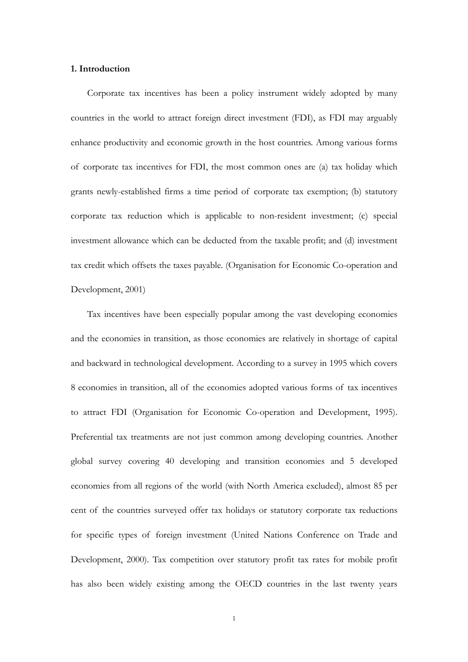#### **1. Introduction**

Corporate tax incentives has been a policy instrument widely adopted by many countries in the world to attract foreign direct investment (FDI), as FDI may arguably enhance productivity and economic growth in the host countries. Among various forms of corporate tax incentives for FDI, the most common ones are (a) tax holiday which grants newly-established firms a time period of corporate tax exemption; (b) statutory corporate tax reduction which is applicable to non-resident investment; (c) special investment allowance which can be deducted from the taxable profit; and (d) investment tax credit which offsets the taxes payable. (Organisation for Economic Co-operation and Development, 2001)

Tax incentives have been especially popular among the vast developing economies and the economies in transition, as those economies are relatively in shortage of capital and backward in technological development. According to a survey in 1995 which covers 8 economies in transition, all of the economies adopted various forms of tax incentives to attract FDI (Organisation for Economic Co-operation and Development, 1995). Preferential tax treatments are not just common among developing countries. Another global survey covering 40 developing and transition economies and 5 developed economies from all regions of the world (with North America excluded), almost 85 per cent of the countries surveyed offer tax holidays or statutory corporate tax reductions for specific types of foreign investment (United Nations Conference on Trade and Development, 2000). Tax competition over statutory profit tax rates for mobile profit has also been widely existing among the OECD countries in the last twenty years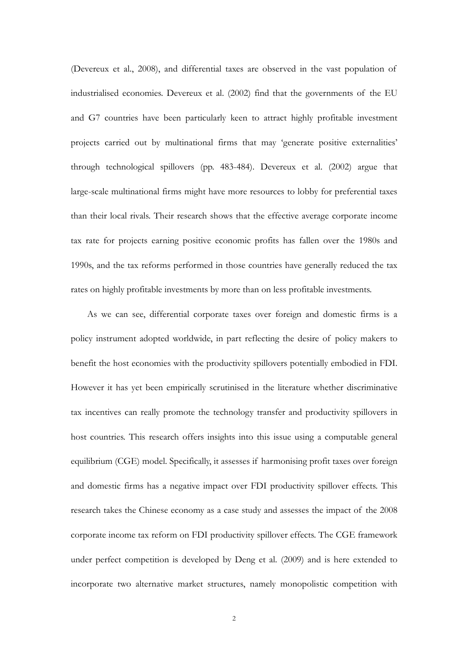(Devereux et al., 2008), and differential taxes are observed in the vast population of industrialised economies. Devereux et al. (2002) find that the governments of the EU and G7 countries have been particularly keen to attract highly profitable investment projects carried out by multinational firms that may 'generate positive externalities' through technological spillovers (pp. 483-484). Devereux et al. (2002) argue that large-scale multinational firms might have more resources to lobby for preferential taxes than their local rivals. Their research shows that the effective average corporate income tax rate for projects earning positive economic profits has fallen over the 1980s and 1990s, and the tax reforms performed in those countries have generally reduced the tax rates on highly profitable investments by more than on less profitable investments.

As we can see, differential corporate taxes over foreign and domestic firms is a policy instrument adopted worldwide, in part reflecting the desire of policy makers to benefit the host economies with the productivity spillovers potentially embodied in FDI. However it has yet been empirically scrutinised in the literature whether discriminative tax incentives can really promote the technology transfer and productivity spillovers in host countries. This research offers insights into this issue using a computable general equilibrium (CGE) model. Specifically, it assesses if harmonising profit taxes over foreign and domestic firms has a negative impact over FDI productivity spillover effects. This research takes the Chinese economy as a case study and assesses the impact of the 2008 corporate income tax reform on FDI productivity spillover effects. The CGE framework under perfect competition is developed by Deng et al. (2009) and is here extended to incorporate two alternative market structures, namely monopolistic competition with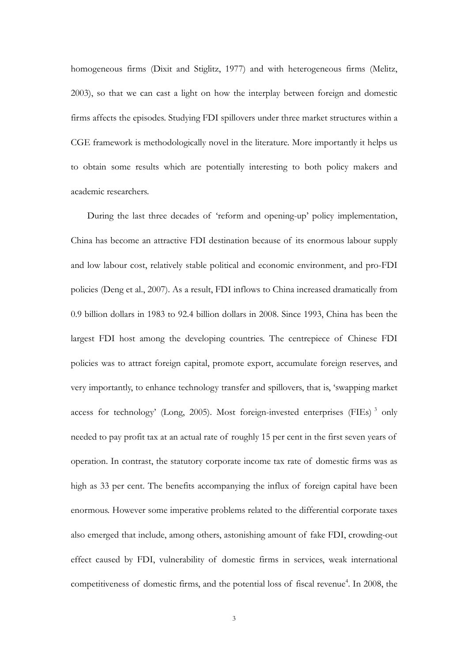homogeneous firms (Dixit and Stiglitz, 1977) and with heterogeneous firms (Melitz, 2003), so that we can cast a light on how the interplay between foreign and domestic firms affects the episodes. Studying FDI spillovers under three market structures within a CGE framework is methodologically novel in the literature. More importantly it helps us to obtain some results which are potentially interesting to both policy makers and academic researchers.

During the last three decades of 'reform and opening-up' policy implementation, China has become an attractive FDI destination because of its enormous labour supply and low labour cost, relatively stable political and economic environment, and pro-FDI policies (Deng et al., 2007). As a result, FDI inflows to China increased dramatically from 0.9 billion dollars in 1983 to 92.4 billion dollars in 2008. Since 1993, China has been the largest FDI host among the developing countries. The centrepiece of Chinese FDI policies was to attract foreign capital, promote export, accumulate foreign reserves, and very importantly, to enhance technology transfer and spillovers, that is, 'swapping market access for technology' (Long, 2005). Most foreign-invested enterprises (FIEs)  $3$  only needed to pay profit tax at an actual rate of roughly 15 per cent in the first seven years of operation. In contrast, the statutory corporate income tax rate of domestic firms was as high as 33 per cent. The benefits accompanying the influx of foreign capital have been enormous. However some imperative problems related to the differential corporate taxes also emerged that include, among others, astonishing amount of fake FDI, crowding-out effect caused by FDI, vulnerability of domestic firms in services, weak international competitiveness of domestic firms, and the potential loss of fiscal revenue<sup>4</sup>. In 2008, the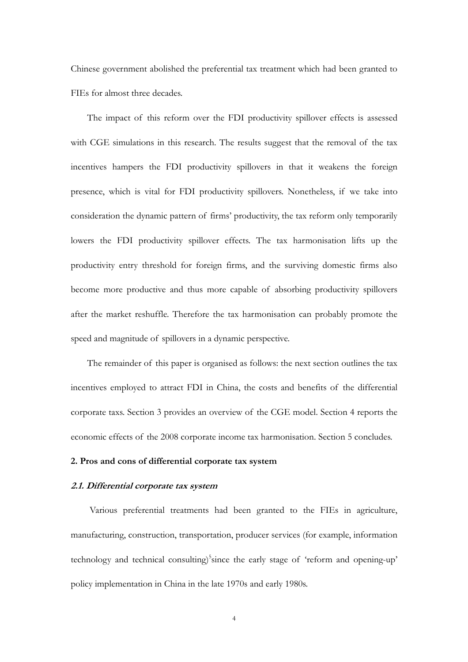Chinese government abolished the preferential tax treatment which had been granted to FIEs for almost three decades.

The impact of this reform over the FDI productivity spillover effects is assessed with CGE simulations in this research. The results suggest that the removal of the tax incentives hampers the FDI productivity spillovers in that it weakens the foreign presence, which is vital for FDI productivity spillovers. Nonetheless, if we take into consideration the dynamic pattern of firms' productivity, the tax reform only temporarily lowers the FDI productivity spillover effects. The tax harmonisation lifts up the productivity entry threshold for foreign firms, and the surviving domestic firms also become more productive and thus more capable of absorbing productivity spillovers after the market reshuffle. Therefore the tax harmonisation can probably promote the speed and magnitude of spillovers in a dynamic perspective.

The remainder of this paper is organised as follows: the next section outlines the tax incentives employed to attract FDI in China, the costs and benefits of the differential corporate taxs. Section 3 provides an overview of the CGE model. Section 4 reports the economic effects of the 2008 corporate income tax harmonisation. Section 5 concludes.

#### **2. Pros and cons of differential corporate tax system**

## **2.1. Differential corporate tax system**

Various preferential treatments had been granted to the FIEs in agriculture, manufacturing, construction, transportation, producer services (for example, information technology and technical consulting)<sup>5</sup> since the early stage of 'reform and opening-up' policy implementation in China in the late 1970s and early 1980s.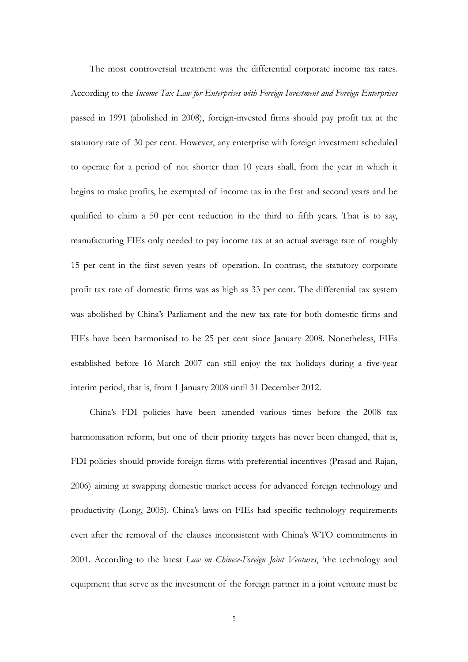The most controversial treatment was the differential corporate income tax rates. According to the *Income Tax Law for Enterprises with Foreign Investment and Foreign Enterprises* passed in 1991 (abolished in 2008), foreign-invested firms should pay profit tax at the statutory rate of 30 per cent. However, any enterprise with foreign investment scheduled to operate for a period of not shorter than 10 years shall, from the year in which it begins to make profits, be exempted of income tax in the first and second years and be qualified to claim a 50 per cent reduction in the third to fifth years. That is to say, manufacturing FIEs only needed to pay income tax at an actual average rate of roughly 15 per cent in the first seven years of operation. In contrast, the statutory corporate profit tax rate of domestic firms was as high as 33 per cent. The differential tax system was abolished by China's Parliament and the new tax rate for both domestic firms and FIEs have been harmonised to be 25 per cent since January 2008. Nonetheless, FIEs established before 16 March 2007 can still enjoy the tax holidays during a five-year interim period, that is, from 1 January 2008 until 31 December 2012.

China's FDI policies have been amended various times before the 2008 tax harmonisation reform, but one of their priority targets has never been changed, that is, FDI policies should provide foreign firms with preferential incentives (Prasad and Rajan, 2006) aiming at swapping domestic market access for advanced foreign technology and productivity (Long, 2005). China's laws on FIEs had specific technology requirements even after the removal of the clauses inconsistent with China's WTO commitments in 2001. According to the latest *Law on Chinese-Foreign Joint Ventures*, 'the technology and equipment that serve as the investment of the foreign partner in a joint venture must be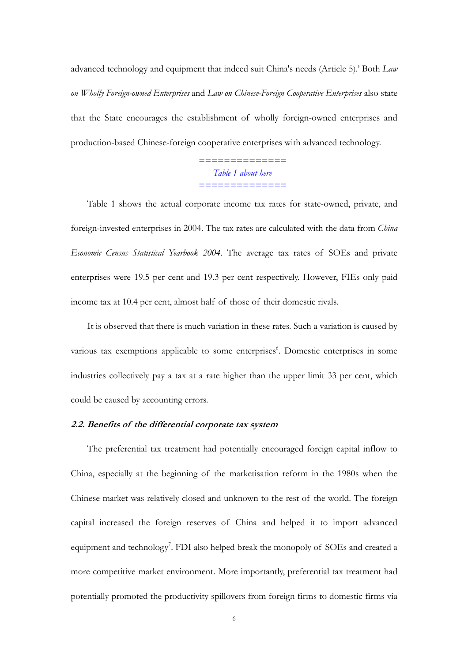advanced technology and equipment that indeed suit China's needs (Article 5).' Both *Law on Wholly Foreign-owned Enterprises* and *Law on Chinese-Foreign Cooperative Enterprises* also state that the State encourages the establishment of wholly foreign-owned enterprises and production-based Chinese-foreign cooperative enterprises with advanced technology.

> *============== Table 1 about here ==============*

Table 1 shows the actual corporate income tax rates for state-owned, private, and foreign-invested enterprises in 2004. The tax rates are calculated with the data from *China Economic Census Statistical Yearbook 2004*. The average tax rates of SOEs and private enterprises were 19.5 per cent and 19.3 per cent respectively. However, FIEs only paid income tax at 10.4 per cent, almost half of those of their domestic rivals.

It is observed that there is much variation in these rates. Such a variation is caused by various tax exemptions applicable to some enterprises<sup>6</sup>. Domestic enterprises in some industries collectively pay a tax at a rate higher than the upper limit 33 per cent, which could be caused by accounting errors.

#### **2.2. Benefits of the differential corporate tax system**

The preferential tax treatment had potentially encouraged foreign capital inflow to China, especially at the beginning of the marketisation reform in the 1980s when the Chinese market was relatively closed and unknown to the rest of the world. The foreign capital increased the foreign reserves of China and helped it to import advanced equipment and technology<sup>7</sup>. FDI also helped break the monopoly of SOEs and created a more competitive market environment. More importantly, preferential tax treatment had potentially promoted the productivity spillovers from foreign firms to domestic firms via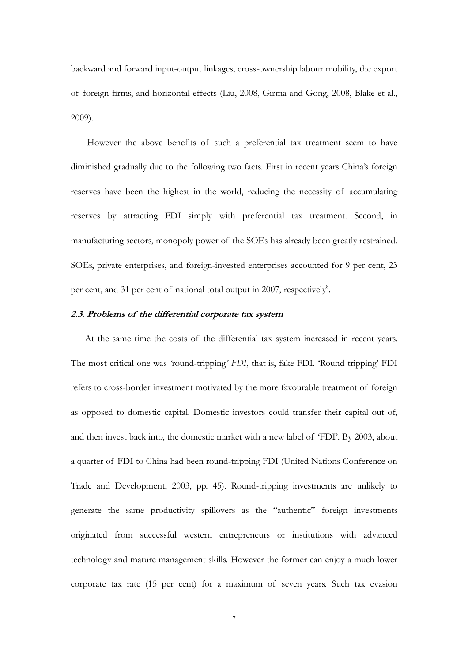backward and forward input-output linkages, cross-ownership labour mobility, the export of foreign firms, and horizontal effects (Liu, 2008, Girma and Gong, 2008, Blake et al., 2009).

However the above benefits of such a preferential tax treatment seem to have diminished gradually due to the following two facts. First in recent years China's foreign reserves have been the highest in the world, reducing the necessity of accumulating reserves by attracting FDI simply with preferential tax treatment. Second, in manufacturing sectors, monopoly power of the SOEs has already been greatly restrained. SOEs, private enterprises, and foreign-invested enterprises accounted for 9 per cent, 23 per cent, and 31 per cent of national total output in 2007, respectively<sup>8</sup>.

# **2.3. Problems of the differential corporate tax system**

 At the same time the costs of the differential tax system increased in recent years. The most critical one was *'*round-tripping*' FDI*, that is, fake FDI. 'Round tripping' FDI refers to cross-border investment motivated by the more favourable treatment of foreign as opposed to domestic capital. Domestic investors could transfer their capital out of, and then invest back into, the domestic market with a new label of 'FDI'. By 2003, about a quarter of FDI to China had been round-tripping FDI (United Nations Conference on Trade and Development, 2003, pp. 45). Round-tripping investments are unlikely to generate the same productivity spillovers as the "authentic" foreign investments originated from successful western entrepreneurs or institutions with advanced technology and mature management skills. However the former can enjoy a much lower corporate tax rate (15 per cent) for a maximum of seven years. Such tax evasion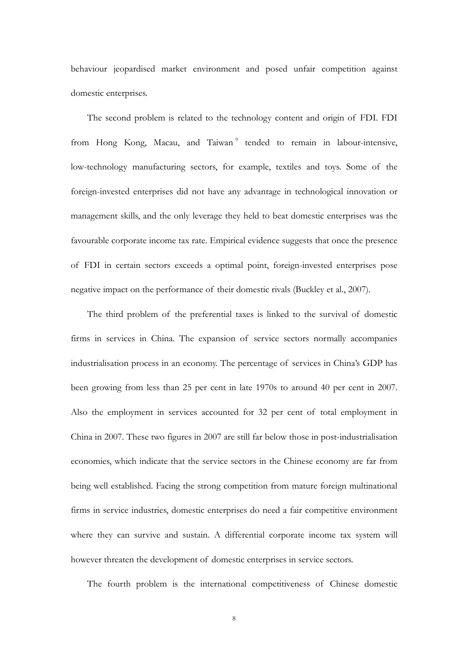behaviour jeopardised market environment and posed unfair competition against domestic enterprises.

The second problem is related to the technology content and origin of FDI. FDI from Hong Kong, Macau, and Taiwan<sup>9</sup> tended to remain in labour-intensive, low-technology manufacturing sectors, for example, textiles and toys. Some of the foreign-invested enterprises did not have any advantage in technological innovation or management skills, and the only leverage they held to beat domestic enterprises was the favourable corporate income tax rate. Empirical evidence suggests that once the presence of FDI in certain sectors exceeds a optimal point, foreign-invested enterprises pose negative impact on the performance of their domestic rivals (Buckley et al., 2007).

The third problem of the preferential taxes is linked to the survival of domestic firms in services in China. The expansion of service sectors normally accompanies industrialisation process in an economy. The percentage of services in China's GDP has been growing from less than 25 per cent in late 1970s to around 40 per cent in 2007. Also the employment in services accounted for 32 per cent of total employment in China in 2007. These two figures in 2007 are still far below those in post-industrialisation economies, which indicate that the service sectors in the Chinese economy are far from being well established. Facing the strong competition from mature foreign multinational firms in service industries, domestic enterprises do need a fair competitive environment where they can survive and sustain. A differential corporate income tax system will however threaten the development of domestic enterprises in service sectors.

The fourth problem is the international competitiveness of Chinese domestic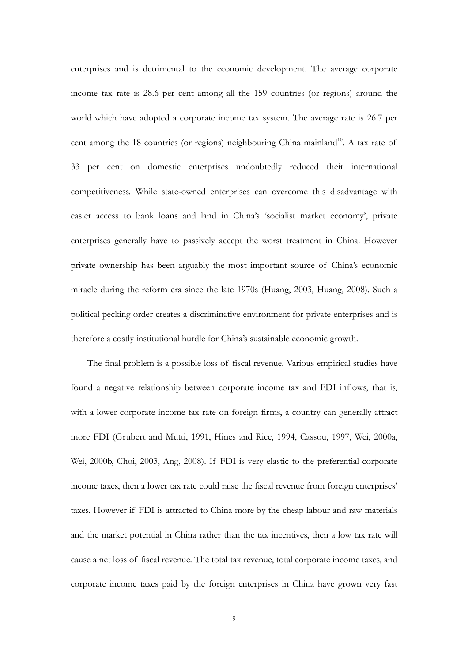enterprises and is detrimental to the economic development. The average corporate income tax rate is 28.6 per cent among all the 159 countries (or regions) around the world which have adopted a corporate income tax system. The average rate is 26.7 per cent among the 18 countries (or regions) neighbouring China mainland<sup>10</sup>. A tax rate of 33 per cent on domestic enterprises undoubtedly reduced their international competitiveness. While state-owned enterprises can overcome this disadvantage with easier access to bank loans and land in China's 'socialist market economy', private enterprises generally have to passively accept the worst treatment in China. However private ownership has been arguably the most important source of China's economic miracle during the reform era since the late 1970s (Huang, 2003, Huang, 2008). Such a political pecking order creates a discriminative environment for private enterprises and is therefore a costly institutional hurdle for China's sustainable economic growth.

The final problem is a possible loss of fiscal revenue. Various empirical studies have found a negative relationship between corporate income tax and FDI inflows, that is, with a lower corporate income tax rate on foreign firms, a country can generally attract more FDI (Grubert and Mutti, 1991, Hines and Rice, 1994, Cassou, 1997, Wei, 2000a, Wei, 2000b, Choi, 2003, Ang, 2008). If FDI is very elastic to the preferential corporate income taxes, then a lower tax rate could raise the fiscal revenue from foreign enterprises' taxes. However if FDI is attracted to China more by the cheap labour and raw materials and the market potential in China rather than the tax incentives, then a low tax rate will cause a net loss of fiscal revenue. The total tax revenue, total corporate income taxes, and corporate income taxes paid by the foreign enterprises in China have grown very fast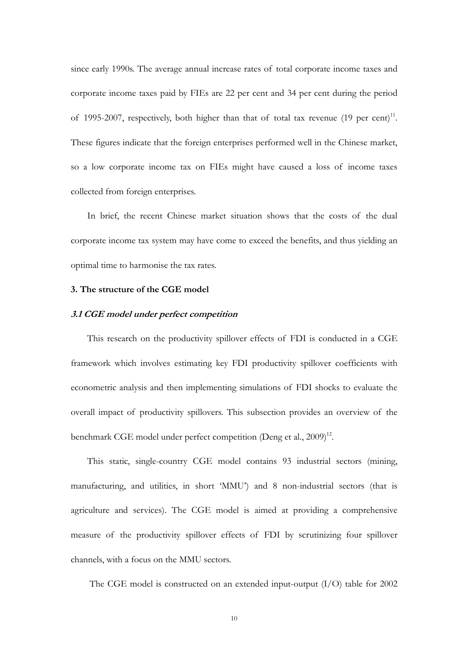since early 1990s. The average annual increase rates of total corporate income taxes and corporate income taxes paid by FIEs are 22 per cent and 34 per cent during the period of 1995-2007, respectively, both higher than that of total tax revenue  $(19 \text{ per cent})^{11}$ . These figures indicate that the foreign enterprises performed well in the Chinese market, so a low corporate income tax on FIEs might have caused a loss of income taxes collected from foreign enterprises.

In brief, the recent Chinese market situation shows that the costs of the dual corporate income tax system may have come to exceed the benefits, and thus yielding an optimal time to harmonise the tax rates.

#### **3. The structure of the CGE model**

#### **3.1 CGE model under perfect competition**

This research on the productivity spillover effects of FDI is conducted in a CGE framework which involves estimating key FDI productivity spillover coefficients with econometric analysis and then implementing simulations of FDI shocks to evaluate the overall impact of productivity spillovers. This subsection provides an overview of the benchmark CGE model under perfect competition (Deng et al., 2009)<sup>12</sup>.

This static, single-country CGE model contains 93 industrial sectors (mining, manufacturing, and utilities, in short 'MMU') and 8 non-industrial sectors (that is agriculture and services). The CGE model is aimed at providing a comprehensive measure of the productivity spillover effects of FDI by scrutinizing four spillover channels, with a focus on the MMU sectors.

The CGE model is constructed on an extended input-output (I/O) table for 2002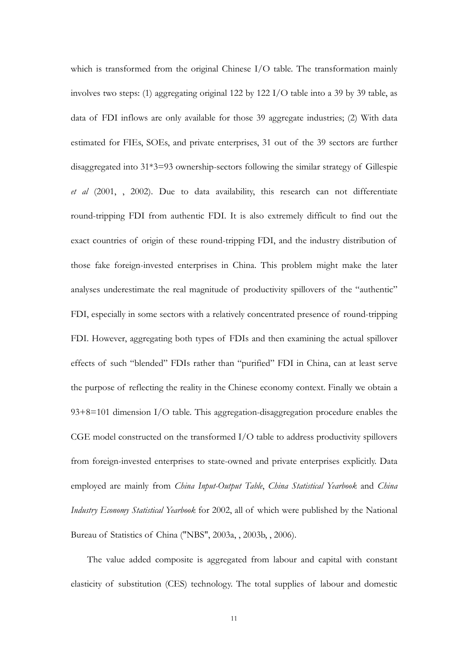which is transformed from the original Chinese I/O table. The transformation mainly involves two steps: (1) aggregating original 122 by 122 I/O table into a 39 by 39 table, as data of FDI inflows are only available for those 39 aggregate industries; (2) With data estimated for FIEs, SOEs, and private enterprises, 31 out of the 39 sectors are further disaggregated into 31\*3=93 ownership-sectors following the similar strategy of Gillespie *et al* (2001, , 2002). Due to data availability, this research can not differentiate round-tripping FDI from authentic FDI. It is also extremely difficult to find out the exact countries of origin of these round-tripping FDI, and the industry distribution of those fake foreign-invested enterprises in China. This problem might make the later analyses underestimate the real magnitude of productivity spillovers of the "authentic" FDI, especially in some sectors with a relatively concentrated presence of round-tripping FDI. However, aggregating both types of FDIs and then examining the actual spillover effects of such "blended" FDIs rather than "purified" FDI in China, can at least serve the purpose of reflecting the reality in the Chinese economy context. Finally we obtain a 93+8=101 dimension I/O table. This aggregation-disaggregation procedure enables the CGE model constructed on the transformed I/O table to address productivity spillovers from foreign-invested enterprises to state-owned and private enterprises explicitly. Data employed are mainly from *China Input-Output Table*, *China Statistical Yearbook* and *China Industry Economy Statistical Yearbook* for 2002, all of which were published by the National Bureau of Statistics of China ("NBS", 2003a, , 2003b, , 2006).

The value added composite is aggregated from labour and capital with constant elasticity of substitution (CES) technology. The total supplies of labour and domestic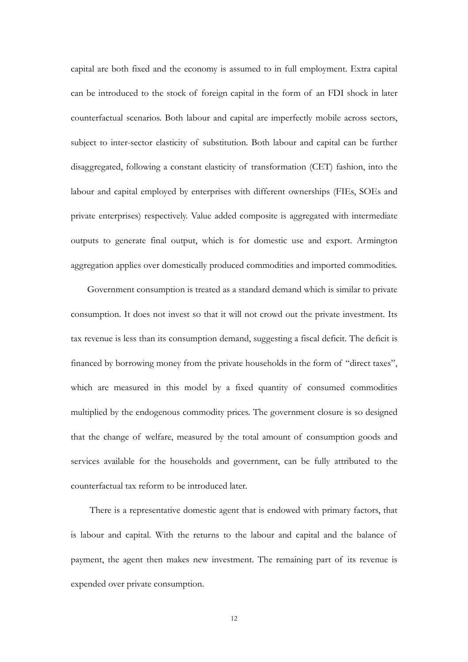capital are both fixed and the economy is assumed to in full employment. Extra capital can be introduced to the stock of foreign capital in the form of an FDI shock in later counterfactual scenarios. Both labour and capital are imperfectly mobile across sectors, subject to inter-sector elasticity of substitution. Both labour and capital can be further disaggregated, following a constant elasticity of transformation (CET) fashion, into the labour and capital employed by enterprises with different ownerships (FIEs, SOEs and private enterprises) respectively. Value added composite is aggregated with intermediate outputs to generate final output, which is for domestic use and export. Armington aggregation applies over domestically produced commodities and imported commodities.

Government consumption is treated as a standard demand which is similar to private consumption. It does not invest so that it will not crowd out the private investment. Its tax revenue is less than its consumption demand, suggesting a fiscal deficit. The deficit is financed by borrowing money from the private households in the form of "direct taxes", which are measured in this model by a fixed quantity of consumed commodities multiplied by the endogenous commodity prices. The government closure is so designed that the change of welfare, measured by the total amount of consumption goods and services available for the households and government, can be fully attributed to the counterfactual tax reform to be introduced later.

There is a representative domestic agent that is endowed with primary factors, that is labour and capital. With the returns to the labour and capital and the balance of payment, the agent then makes new investment. The remaining part of its revenue is expended over private consumption.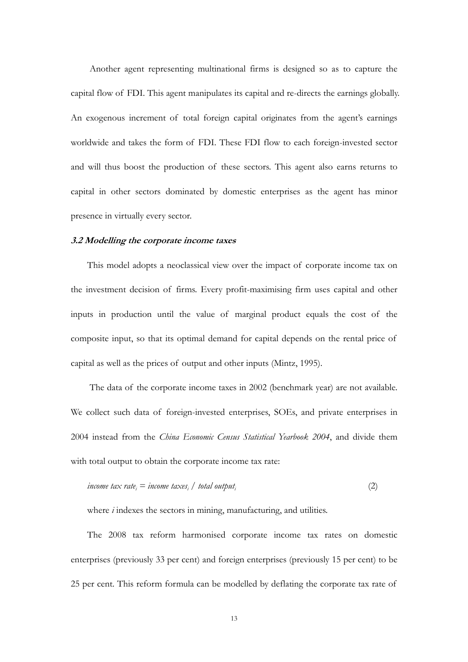Another agent representing multinational firms is designed so as to capture the capital flow of FDI. This agent manipulates its capital and re-directs the earnings globally. An exogenous increment of total foreign capital originates from the agent's earnings worldwide and takes the form of FDI. These FDI flow to each foreign-invested sector and will thus boost the production of these sectors. This agent also earns returns to capital in other sectors dominated by domestic enterprises as the agent has minor presence in virtually every sector.

#### **3.2 Modelling the corporate income taxes**

This model adopts a neoclassical view over the impact of corporate income tax on the investment decision of firms. Every profit-maximising firm uses capital and other inputs in production until the value of marginal product equals the cost of the composite input, so that its optimal demand for capital depends on the rental price of capital as well as the prices of output and other inputs (Mintz, 1995).

 The data of the corporate income taxes in 2002 (benchmark year) are not available. We collect such data of foreign-invested enterprises, SOEs, and private enterprises in 2004 instead from the *China Economic Census Statistical Yearbook 2004*, and divide them with total output to obtain the corporate income tax rate:

$$
income tax rate_i = income taxes_i / total output_i \tag{2}
$$

where *i* indexes the sectors in mining, manufacturing, and utilities.

The 2008 tax reform harmonised corporate income tax rates on domestic enterprises (previously 33 per cent) and foreign enterprises (previously 15 per cent) to be 25 per cent. This reform formula can be modelled by deflating the corporate tax rate of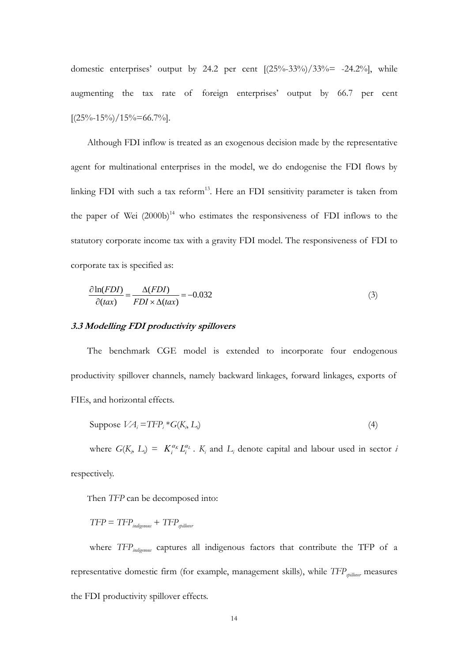domestic enterprises' output by 24.2 per cent  $[(25\% - 33\%) / 33\% = -24.2\%]$ , while augmenting the tax rate of foreign enterprises' output by 66.7 per cent  $[(25\% - 15\%)/15\% = 66.7\%]$ .

Although FDI inflow is treated as an exogenous decision made by the representative agent for multinational enterprises in the model, we do endogenise the FDI flows by linking FDI with such a tax reform<sup>13</sup>. Here an FDI sensitivity parameter is taken from the paper of Wei  $(2000b)^{14}$  who estimates the responsiveness of FDI inflows to the statutory corporate income tax with a gravity FDI model. The responsiveness of FDI to corporate tax is specified as:

$$
\frac{\partial \ln(FDI)}{\partial (tax)} = \frac{\Delta(FDI)}{FDI \times \Delta (tax)} = -0.032\tag{3}
$$

#### **3.3 Modelling FDI productivity spillovers**

The benchmark CGE model is extended to incorporate four endogenous productivity spillover channels, namely backward linkages, forward linkages, exports of FIEs, and horizontal effects.

Suppose 
$$
VA_i = TFP_i * G(K_i, L_i)
$$
 (4)

where  $G(K_i, L_i) = K_i^{\alpha_k} L_i^{\alpha_k}$ .  $K_i$  and  $L_i$  denote capital and labour used in sector *i* respectively.

Then *TFP* can be decomposed into:

 $TFP = TFP<sub>indiveness</sub> + TFP<sub>stillover</sub>$ 

where *TFP<sub>indigenous</sub>* captures all indigenous factors that contribute the TFP of a representative domestic firm (for example, management skills), while *TFP<sub>spillover</sub>* measures the FDI productivity spillover effects.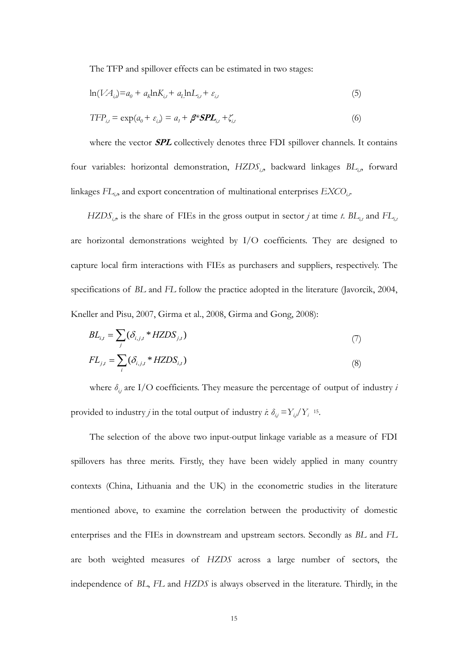The TFP and spillover effects can be estimated in two stages:

$$
\ln(VA_{i,j})=a_0+a_k\ln K_{i,t}+a_L\ln L_{i,t}+\varepsilon_{i,t} \tag{5}
$$

$$
TFP_{i,t} = \exp(a_0 + \varepsilon_{i,t}) = a_1 + \beta^* SPL_{i,t} + \zeta_{i,t}
$$
\n
$$
\tag{6}
$$

where the vector **SPL** collectively denotes three FDI spillover channels. It contains four variables: horizontal demonstration, *HZDS<sub>ip</sub>* backward linkages *BL<sub>ip</sub>* forward linkages *FL<sub>i,p</sub>* and export concentration of multinational enterprises *EXCO<sub>i,t</sub>*.

 $HZDS_{i,p}$  is the share of FIEs in the gross output in sector *j* at time *t*.  $BL_{i,t}$  and  $FL_{i,t}$ are horizontal demonstrations weighted by I/O coefficients. They are designed to capture local firm interactions with FIEs as purchasers and suppliers, respectively. The specifications of *BL* and *FL* follow the practice adopted in the literature (Javorcik, 2004, Kneller and Pisu, 2007, Girma et al., 2008, Girma and Gong, 2008):

$$
BL_{i,t} = \sum_{j} (\delta_{i,j,t} * HZDS_{j,t})
$$
\n(7)

$$
FL_{j,t} = \sum_{i} (\delta_{i,j,t} * HZDS_{i,t})
$$
\n(8)

where  $\delta_{i,j}$  are I/O coefficients. They measure the percentage of output of industry *i* provided to industry *j* in the total output of industry *i*:  $\delta_{ij} = Y_{ij}/Y_i$  <sup>15</sup>.

The selection of the above two input-output linkage variable as a measure of FDI spillovers has three merits. Firstly, they have been widely applied in many country contexts (China, Lithuania and the UK) in the econometric studies in the literature mentioned above, to examine the correlation between the productivity of domestic enterprises and the FIEs in downstream and upstream sectors. Secondly as *BL* and *FL* are both weighted measures of *HZDS* across a large number of sectors, the independence of *BL*, *FL* and *HZDS* is always observed in the literature. Thirdly, in the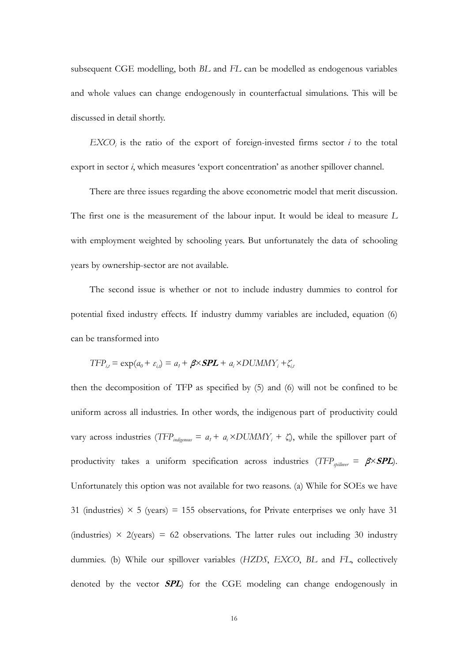subsequent CGE modelling, both *BL* and *FL* can be modelled as endogenous variables and whole values can change endogenously in counterfactual simulations. This will be discussed in detail shortly.

 $EXCO<sub>i</sub>$  is the ratio of the export of foreign-invested firms sector  $i$  to the total export in sector *i*, which measures 'export concentration' as another spillover channel.

There are three issues regarding the above econometric model that merit discussion. The first one is the measurement of the labour input. It would be ideal to measure *L* with employment weighted by schooling years. But unfortunately the data of schooling years by ownership-sector are not available.

The second issue is whether or not to include industry dummies to control for potential fixed industry effects. If industry dummy variables are included, equation (6) can be transformed into

$$
TFP_{i,t} = \exp(a_0 + \varepsilon_{i,t}) = a_t + \beta \times SPL + a_i \times DUMMY_i + \zeta_{i,t}
$$

then the decomposition of TFP as specified by (5) and (6) will not be confined to be uniform across all industries. In other words, the indigenous part of productivity could vary across industries (*TFP*<sub>indigenous</sub> =  $a_1 + a_1 \times DUMMY$ <sub>*i*</sub> +  $\zeta_i$ ), while the spillover part of productivity takes a uniform specification across industries (*TFP<sub>spillover</sub>* =  $\beta \times SPL$ ). Unfortunately this option was not available for two reasons. (a) While for SOEs we have 31 (industries)  $\times$  5 (years) = 155 observations, for Private enterprises we only have 31 (industries)  $\times$  2(years) = 62 observations. The latter rules out including 30 industry dummies. (b) While our spillover variables (*HZDS*, *EXCO*, *BL* and *FL*, collectively denoted by the vector **SPL**) for the CGE modeling can change endogenously in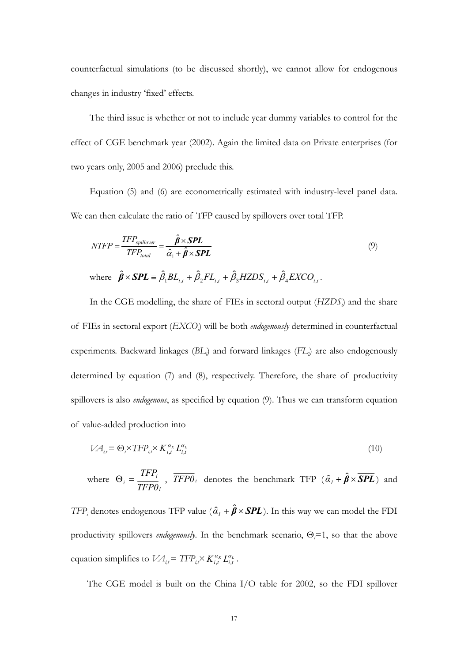counterfactual simulations (to be discussed shortly), we cannot allow for endogenous changes in industry 'fixed' effects.

The third issue is whether or not to include year dummy variables to control for the effect of CGE benchmark year (2002). Again the limited data on Private enterprises (for two years only, 2005 and 2006) preclude this.

Equation (5) and (6) are econometrically estimated with industry-level panel data. We can then calculate the ratio of TFP caused by spillovers over total TFP.

$$
NTFP = \frac{TFP_{spillover}}{TFP_{total}} = \frac{\hat{\beta} \times SPL}{\hat{\alpha}_1 + \hat{\beta} \times SPL}
$$
 (9)

where 
$$
\hat{\beta} \times \text{SPL} = \hat{\beta}_1 BL_{i,t} + \hat{\beta}_2 FL_{i,t} + \hat{\beta}_3 HZDS_{i,t} + \hat{\beta}_4 EXCO_{i,t}
$$
.

In the CGE modelling, the share of FIEs in sectoral output (*HZDSi* ) and the share of FIEs in sectoral export (*EXCOi* ) will be both *endogenously* determined in counterfactual experiments. Backward linkages (BL<sub>i</sub>) and forward linkages (FL<sub>i</sub>) are also endogenously determined by equation (7) and (8), respectively. Therefore, the share of productivity spillovers is also *endogenous*, as specified by equation (9). Thus we can transform equation of value-added production into

$$
VA_{i,t} = \Theta_i \times TFP_{i,t} \times K_{i,t}^{\alpha_K} L_{i,t}^{\alpha_L}
$$
\n
$$
\tag{10}
$$

where 
$$
\Theta_i = \frac{TFP_i}{TFP0_i}
$$
,  $\overline{TFP0_i}$  denotes the benchmark TFP  $(\hat{\alpha}_1 + \hat{\beta} \times \overline{SPL})$  and

*TFP<sub>i</sub>* denotes endogenous TFP value  $(\hat{a}_1 + \hat{\beta} \times SPL)$ . In this way we can model the FDI productivity spillovers *endogenously*. In the benchmark scenario, Θ*<sup>i</sup>* =1, so that the above equation simplifies to  $VA_{i,t} = TFP_{i,t} \times K_{i,t}^{\alpha_K} L_{i,t}^{\alpha_L}$ .

The CGE model is built on the China I/O table for 2002, so the FDI spillover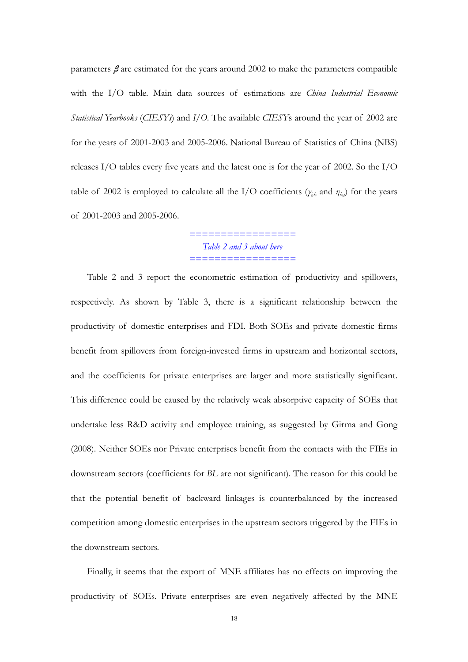parameters  $\beta$  are estimated for the years around 2002 to make the parameters compatible with the I/O table. Main data sources of estimations are *China Industrial Economic Statistical Yearbooks* (*CIESYs*) and *I/O*. The available *CIESY*s around the year of 2002 are for the years of 2001-2003 and 2005-2006. National Bureau of Statistics of China (NBS) releases I/O tables every five years and the latest one is for the year of 2002. So the I/O table of 2002 is employed to calculate all the I/O coefficients ( $\gamma_{j,k}$  and  $\eta_{k,j}$ ) for the years of 2001-2003 and 2005-2006.

> *================= Table 2 and 3 about here =================*

Table 2 and 3 report the econometric estimation of productivity and spillovers, respectively. As shown by Table 3, there is a significant relationship between the productivity of domestic enterprises and FDI. Both SOEs and private domestic firms benefit from spillovers from foreign-invested firms in upstream and horizontal sectors, and the coefficients for private enterprises are larger and more statistically significant. This difference could be caused by the relatively weak absorptive capacity of SOEs that undertake less R&D activity and employee training, as suggested by Girma and Gong (2008). Neither SOEs nor Private enterprises benefit from the contacts with the FIEs in downstream sectors (coefficients for *BL* are not significant). The reason for this could be that the potential benefit of backward linkages is counterbalanced by the increased competition among domestic enterprises in the upstream sectors triggered by the FIEs in the downstream sectors.

Finally, it seems that the export of MNE affiliates has no effects on improving the productivity of SOEs. Private enterprises are even negatively affected by the MNE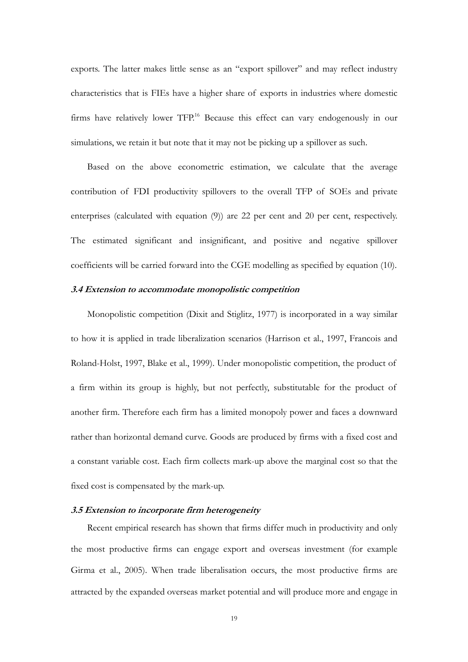exports. The latter makes little sense as an "export spillover" and may reflect industry characteristics that is FIEs have a higher share of exports in industries where domestic firms have relatively lower TFP.<sup>16</sup> Because this effect can vary endogenously in our simulations, we retain it but note that it may not be picking up a spillover as such.

Based on the above econometric estimation, we calculate that the average contribution of FDI productivity spillovers to the overall TFP of SOEs and private enterprises (calculated with equation (9)) are 22 per cent and 20 per cent, respectively. The estimated significant and insignificant, and positive and negative spillover coefficients will be carried forward into the CGE modelling as specified by equation (10).

#### **3.4 Extension to accommodate monopolistic competition**

Monopolistic competition (Dixit and Stiglitz, 1977) is incorporated in a way similar to how it is applied in trade liberalization scenarios (Harrison et al., 1997, Francois and Roland-Holst, 1997, Blake et al., 1999). Under monopolistic competition, the product of a firm within its group is highly, but not perfectly, substitutable for the product of another firm. Therefore each firm has a limited monopoly power and faces a downward rather than horizontal demand curve. Goods are produced by firms with a fixed cost and a constant variable cost. Each firm collects mark-up above the marginal cost so that the fixed cost is compensated by the mark-up.

#### **3.5 Extension to incorporate firm heterogeneity**

Recent empirical research has shown that firms differ much in productivity and only the most productive firms can engage export and overseas investment (for example Girma et al., 2005). When trade liberalisation occurs, the most productive firms are attracted by the expanded overseas market potential and will produce more and engage in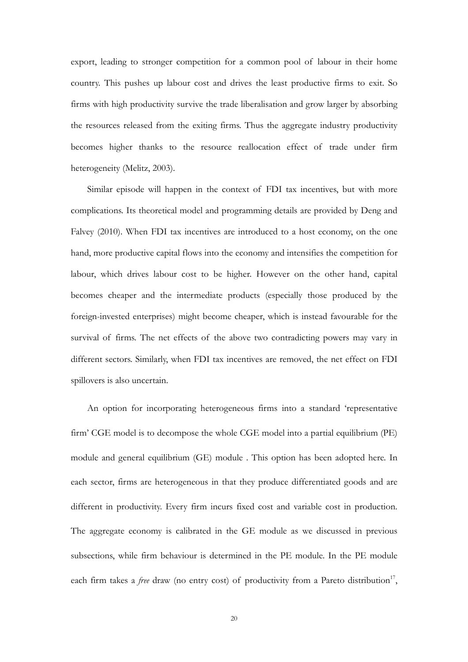export, leading to stronger competition for a common pool of labour in their home country. This pushes up labour cost and drives the least productive firms to exit. So firms with high productivity survive the trade liberalisation and grow larger by absorbing the resources released from the exiting firms. Thus the aggregate industry productivity becomes higher thanks to the resource reallocation effect of trade under firm heterogeneity (Melitz, 2003).

Similar episode will happen in the context of FDI tax incentives, but with more complications. Its theoretical model and programming details are provided by Deng and Falvey (2010). When FDI tax incentives are introduced to a host economy, on the one hand, more productive capital flows into the economy and intensifies the competition for labour, which drives labour cost to be higher. However on the other hand, capital becomes cheaper and the intermediate products (especially those produced by the foreign-invested enterprises) might become cheaper, which is instead favourable for the survival of firms. The net effects of the above two contradicting powers may vary in different sectors. Similarly, when FDI tax incentives are removed, the net effect on FDI spillovers is also uncertain.

An option for incorporating heterogeneous firms into a standard 'representative firm' CGE model is to decompose the whole CGE model into a partial equilibrium (PE) module and general equilibrium (GE) module . This option has been adopted here. In each sector, firms are heterogeneous in that they produce differentiated goods and are different in productivity. Every firm incurs fixed cost and variable cost in production. The aggregate economy is calibrated in the GE module as we discussed in previous subsections, while firm behaviour is determined in the PE module. In the PE module each firm takes a *free* draw (no entry cost) of productivity from a Pareto distribution<sup>17</sup>,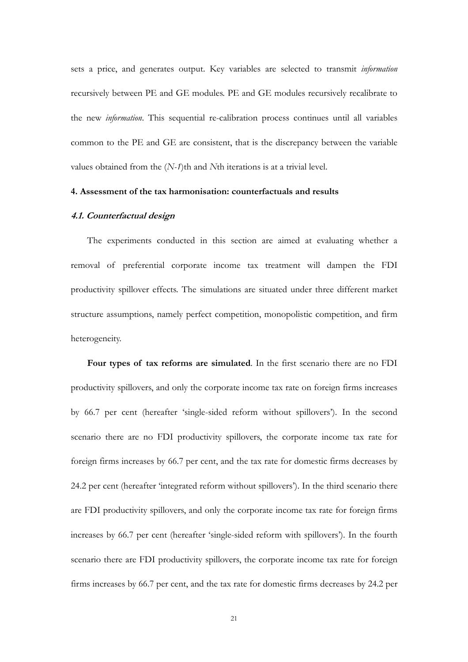sets a price, and generates output. Key variables are selected to transmit *information* recursively between PE and GE modules. PE and GE modules recursively recalibrate to the new *information*. This sequential re-calibration process continues until all variables common to the PE and GE are consistent, that is the discrepancy between the variable values obtained from the (*N-1*)th and *N*th iterations is at a trivial level.

#### **4. Assessment of the tax harmonisation: counterfactuals and results**

#### **4.1. Counterfactual design**

The experiments conducted in this section are aimed at evaluating whether a removal of preferential corporate income tax treatment will dampen the FDI productivity spillover effects. The simulations are situated under three different market structure assumptions, namely perfect competition, monopolistic competition, and firm heterogeneity.

**Four types of tax reforms are simulated**. In the first scenario there are no FDI productivity spillovers, and only the corporate income tax rate on foreign firms increases by 66.7 per cent (hereafter 'single-sided reform without spillovers'). In the second scenario there are no FDI productivity spillovers, the corporate income tax rate for foreign firms increases by 66.7 per cent, and the tax rate for domestic firms decreases by 24.2 per cent (hereafter 'integrated reform without spillovers'). In the third scenario there are FDI productivity spillovers, and only the corporate income tax rate for foreign firms increases by 66.7 per cent (hereafter 'single-sided reform with spillovers'). In the fourth scenario there are FDI productivity spillovers, the corporate income tax rate for foreign firms increases by 66.7 per cent, and the tax rate for domestic firms decreases by 24.2 per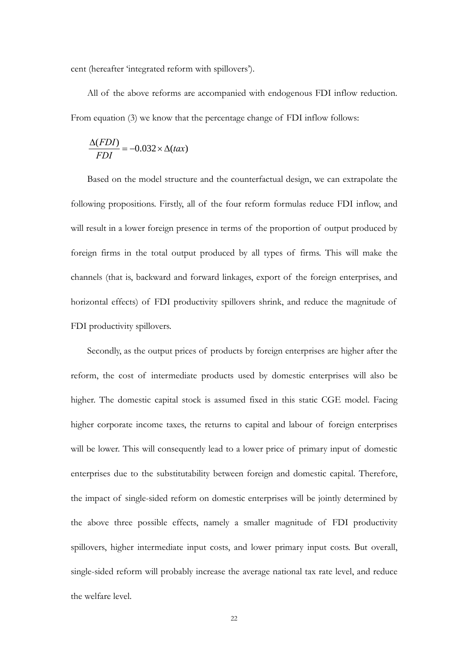cent (hereafter 'integrated reform with spillovers').

All of the above reforms are accompanied with endogenous FDI inflow reduction. From equation (3) we know that the percentage change of FDI inflow follows:

$$
\frac{\Delta(FDI)}{FDI} = -0.032 \times \Delta(tax)
$$

Based on the model structure and the counterfactual design, we can extrapolate the following propositions. Firstly, all of the four reform formulas reduce FDI inflow, and will result in a lower foreign presence in terms of the proportion of output produced by foreign firms in the total output produced by all types of firms. This will make the channels (that is, backward and forward linkages, export of the foreign enterprises, and horizontal effects) of FDI productivity spillovers shrink, and reduce the magnitude of FDI productivity spillovers.

Secondly, as the output prices of products by foreign enterprises are higher after the reform, the cost of intermediate products used by domestic enterprises will also be higher. The domestic capital stock is assumed fixed in this static CGE model. Facing higher corporate income taxes, the returns to capital and labour of foreign enterprises will be lower. This will consequently lead to a lower price of primary input of domestic enterprises due to the substitutability between foreign and domestic capital. Therefore, the impact of single-sided reform on domestic enterprises will be jointly determined by the above three possible effects, namely a smaller magnitude of FDI productivity spillovers, higher intermediate input costs, and lower primary input costs. But overall, single-sided reform will probably increase the average national tax rate level, and reduce the welfare level.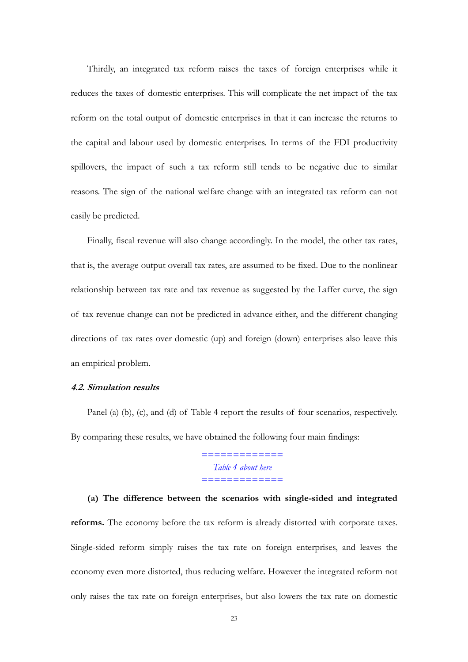Thirdly, an integrated tax reform raises the taxes of foreign enterprises while it reduces the taxes of domestic enterprises. This will complicate the net impact of the tax reform on the total output of domestic enterprises in that it can increase the returns to the capital and labour used by domestic enterprises. In terms of the FDI productivity spillovers, the impact of such a tax reform still tends to be negative due to similar reasons. The sign of the national welfare change with an integrated tax reform can not easily be predicted.

Finally, fiscal revenue will also change accordingly. In the model, the other tax rates, that is, the average output overall tax rates, are assumed to be fixed. Due to the nonlinear relationship between tax rate and tax revenue as suggested by the Laffer curve, the sign of tax revenue change can not be predicted in advance either, and the different changing directions of tax rates over domestic (up) and foreign (down) enterprises also leave this an empirical problem.

#### **4.2. Simulation results**

Panel (a) (b), (c), and (d) of Table 4 report the results of four scenarios, respectively. By comparing these results, we have obtained the following four main findings:

> ============= *Table 4 about here*  =============

# **(a) The difference between the scenarios with single-sided and integrated reforms.** The economy before the tax reform is already distorted with corporate taxes. Single-sided reform simply raises the tax rate on foreign enterprises, and leaves the economy even more distorted, thus reducing welfare. However the integrated reform not only raises the tax rate on foreign enterprises, but also lowers the tax rate on domestic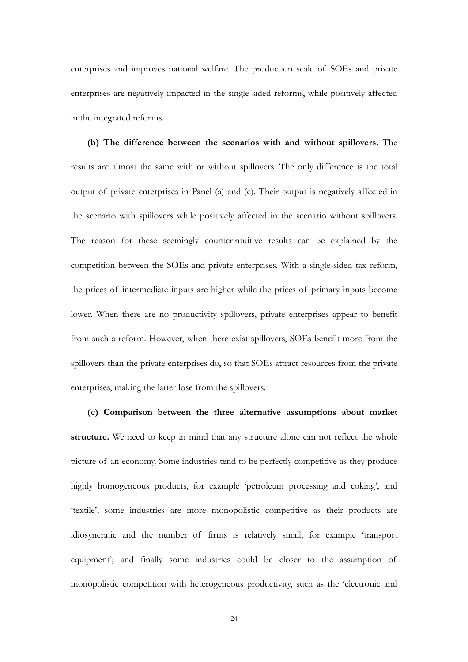enterprises and improves national welfare. The production scale of SOEs and private enterprises are negatively impacted in the single-sided reforms, while positively affected in the integrated reforms.

**(b) The difference between the scenarios with and without spillovers.** The results are almost the same with or without spillovers. The only difference is the total output of private enterprises in Panel (a) and (c). Their output is negatively affected in the scenario with spillovers while positively affected in the scenario without spillovers. The reason for these seemingly counterintuitive results can be explained by the competition between the SOEs and private enterprises. With a single-sided tax reform, the prices of intermediate inputs are higher while the prices of primary inputs become lower. When there are no productivity spillovers, private enterprises appear to benefit from such a reform. However, when there exist spillovers, SOEs benefit more from the spillovers than the private enterprises do, so that SOEs attract resources from the private enterprises, making the latter lose from the spillovers.

**(c) Comparison between the three alternative assumptions about market**  structure. We need to keep in mind that any structure alone can not reflect the whole picture of an economy. Some industries tend to be perfectly competitive as they produce highly homogeneous products, for example 'petroleum processing and coking', and 'textile'; some industries are more monopolistic competitive as their products are idiosyncratic and the number of firms is relatively small, for example 'transport equipment'; and finally some industries could be closer to the assumption of monopolistic competition with heterogeneous productivity, such as the 'electronic and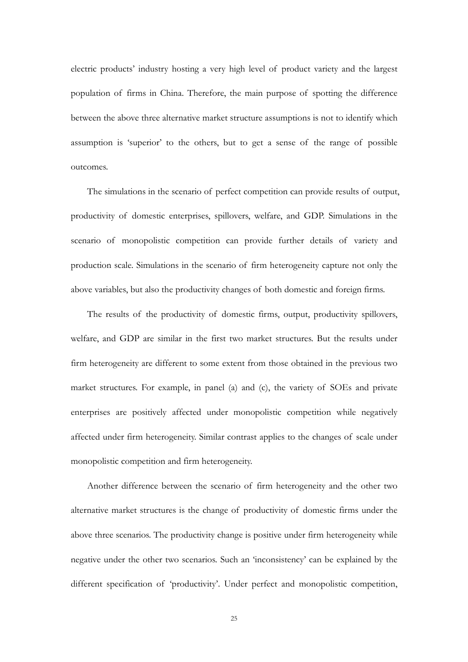electric products' industry hosting a very high level of product variety and the largest population of firms in China. Therefore, the main purpose of spotting the difference between the above three alternative market structure assumptions is not to identify which assumption is 'superior' to the others, but to get a sense of the range of possible outcomes.

The simulations in the scenario of perfect competition can provide results of output, productivity of domestic enterprises, spillovers, welfare, and GDP. Simulations in the scenario of monopolistic competition can provide further details of variety and production scale. Simulations in the scenario of firm heterogeneity capture not only the above variables, but also the productivity changes of both domestic and foreign firms.

The results of the productivity of domestic firms, output, productivity spillovers, welfare, and GDP are similar in the first two market structures. But the results under firm heterogeneity are different to some extent from those obtained in the previous two market structures. For example, in panel (a) and (c), the variety of SOEs and private enterprises are positively affected under monopolistic competition while negatively affected under firm heterogeneity. Similar contrast applies to the changes of scale under monopolistic competition and firm heterogeneity.

Another difference between the scenario of firm heterogeneity and the other two alternative market structures is the change of productivity of domestic firms under the above three scenarios. The productivity change is positive under firm heterogeneity while negative under the other two scenarios. Such an 'inconsistency' can be explained by the different specification of 'productivity'. Under perfect and monopolistic competition,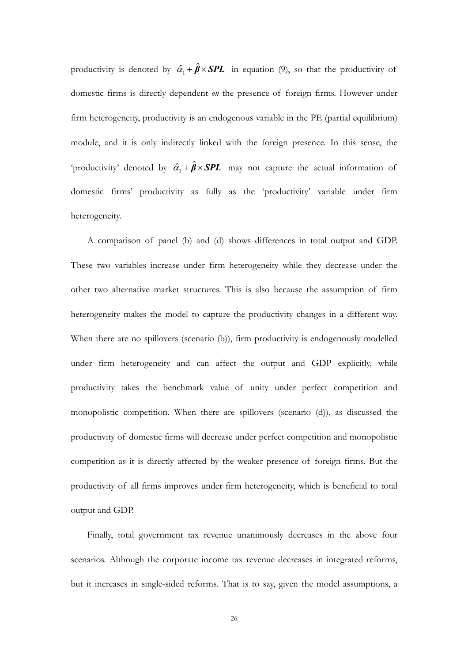productivity is denoted by  $\hat{\alpha}_1 + \hat{\beta} \times SPL$  in equation (9), so that the productivity of domestic firms is directly dependent *on* the presence of foreign firms. However under firm heterogeneity, productivity is an endogenous variable in the PE (partial equilibrium) module, and it is only indirectly linked with the foreign presence. In this sense, the 'productivity' denoted by  $\hat{a}_1 + \hat{\beta} \times SPL$  may not capture the actual information of domestic firms' productivity as fully as the 'productivity' variable under firm heterogeneity.

A comparison of panel (b) and (d) shows differences in total output and GDP. These two variables increase under firm heterogeneity while they decrease under the other two alternative market structures. This is also because the assumption of firm heterogeneity makes the model to capture the productivity changes in a different way. When there are no spillovers (scenario (b)), firm productivity is endogenously modelled under firm heterogeneity and can affect the output and GDP explicitly, while productivity takes the benchmark value of unity under perfect competition and monopolistic competition. When there are spillovers (scenario (d)), as discussed the productivity of domestic firms will decrease under perfect competition and monopolistic competition as it is directly affected by the weaker presence of foreign firms. But the productivity of all firms improves under firm heterogeneity, which is beneficial to total output and GDP.

Finally, total government tax revenue unanimously decreases in the above four scenarios. Although the corporate income tax revenue decreases in integrated reforms, but it increases in single-sided reforms. That is to say, given the model assumptions, a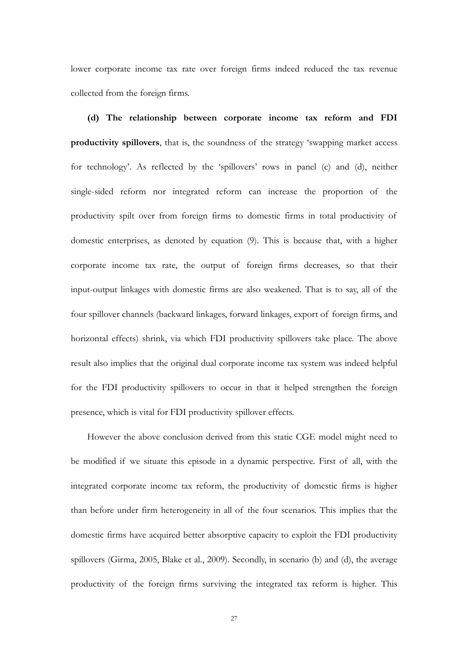lower corporate income tax rate over foreign firms indeed reduced the tax revenue collected from the foreign firms.

**(d) The relationship between corporate income tax reform and FDI productivity spillovers**, that is, the soundness of the strategy 'swapping market access for technology'. As reflected by the 'spillovers' rows in panel (c) and (d), neither single-sided reform nor integrated reform can increase the proportion of the productivity spilt over from foreign firms to domestic firms in total productivity of domestic enterprises, as denoted by equation (9). This is because that, with a higher corporate income tax rate, the output of foreign firms decreases, so that their input-output linkages with domestic firms are also weakened. That is to say, all of the four spillover channels (backward linkages, forward linkages, export of foreign firms, and horizontal effects) shrink, via which FDI productivity spillovers take place. The above result also implies that the original dual corporate income tax system was indeed helpful for the FDI productivity spillovers to occur in that it helped strengthen the foreign presence, which is vital for FDI productivity spillover effects.

However the above conclusion derived from this static CGE model might need to be modified if we situate this episode in a dynamic perspective. First of all, with the integrated corporate income tax reform, the productivity of domestic firms is higher than before under firm heterogeneity in all of the four scenarios. This implies that the domestic firms have acquired better absorptive capacity to exploit the FDI productivity spillovers (Girma, 2005, Blake et al., 2009). Secondly, in scenario (b) and (d), the average productivity of the foreign firms surviving the integrated tax reform is higher. This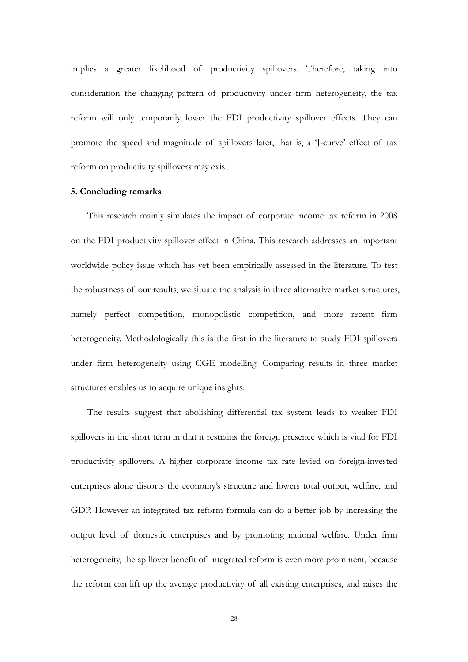implies a greater likelihood of productivity spillovers. Therefore, taking into consideration the changing pattern of productivity under firm heterogeneity, the tax reform will only temporarily lower the FDI productivity spillover effects. They can promote the speed and magnitude of spillovers later, that is, a 'J-curve' effect of tax reform on productivity spillovers may exist.

## **5. Concluding remarks**

This research mainly simulates the impact of corporate income tax reform in 2008 on the FDI productivity spillover effect in China. This research addresses an important worldwide policy issue which has yet been empirically assessed in the literature. To test the robustness of our results, we situate the analysis in three alternative market structures, namely perfect competition, monopolistic competition, and more recent firm heterogeneity. Methodologically this is the first in the literature to study FDI spillovers under firm heterogeneity using CGE modelling. Comparing results in three market structures enables us to acquire unique insights.

The results suggest that abolishing differential tax system leads to weaker FDI spillovers in the short term in that it restrains the foreign presence which is vital for FDI productivity spillovers. A higher corporate income tax rate levied on foreign-invested enterprises alone distorts the economy's structure and lowers total output, welfare, and GDP. However an integrated tax reform formula can do a better job by increasing the output level of domestic enterprises and by promoting national welfare. Under firm heterogeneity, the spillover benefit of integrated reform is even more prominent, because the reform can lift up the average productivity of all existing enterprises, and raises the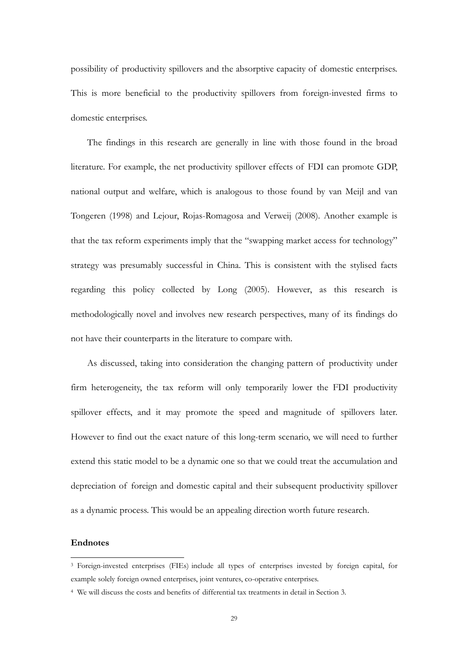possibility of productivity spillovers and the absorptive capacity of domestic enterprises. This is more beneficial to the productivity spillovers from foreign-invested firms to domestic enterprises.

The findings in this research are generally in line with those found in the broad literature. For example, the net productivity spillover effects of FDI can promote GDP, national output and welfare, which is analogous to those found by van Meijl and van Tongeren (1998) and Lejour, Rojas-Romagosa and Verweij (2008). Another example is that the tax reform experiments imply that the "swapping market access for technology" strategy was presumably successful in China. This is consistent with the stylised facts regarding this policy collected by Long (2005). However, as this research is methodologically novel and involves new research perspectives, many of its findings do not have their counterparts in the literature to compare with.

As discussed, taking into consideration the changing pattern of productivity under firm heterogeneity, the tax reform will only temporarily lower the FDI productivity spillover effects, and it may promote the speed and magnitude of spillovers later. However to find out the exact nature of this long-term scenario, we will need to further extend this static model to be a dynamic one so that we could treat the accumulation and depreciation of foreign and domestic capital and their subsequent productivity spillover as a dynamic process. This would be an appealing direction worth future research.

#### **Endnotes**

 $\overline{a}$ 

<sup>3</sup> Foreign-invested enterprises (FIEs) include all types of enterprises invested by foreign capital, for example solely foreign owned enterprises, joint ventures, co-operative enterprises.

<sup>4</sup> We will discuss the costs and benefits of differential tax treatments in detail in Section 3.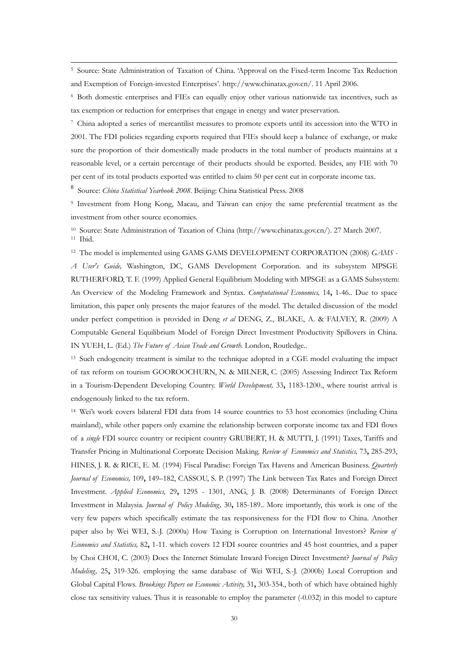5 Source: State Administration of Taxation of China. 'Approval on the Fixed-term Income Tax Reduction and Exemption of Foreign-invested Enterprises'. http://www.chinatax.gov.cn/. 11 April 2006.

6 Both domestic enterprises and FIEs can equally enjoy other various nationwide tax incentives, such as tax exemption or reduction for enterprises that engage in energy and water preservation.

7 China adopted a series of mercantilist measures to promote exports until its accession into the WTO in 2001. The FDI policies regarding exports required that FIEs should keep a balance of exchange, or make sure the proportion of their domestically made products in the total number of products maintains at a reasonable level, or a certain percentage of their products should be exported. Besides, any FIE with 70 per cent of its total products exported was entitled to claim 50 per cent cut in corporate income tax.

<sup>8</sup> Source: *China Statistical Yearbook 2008*. Beijing: China Statistical Press. 2008

9 Investment from Hong Kong, Macau, and Taiwan can enjoy the same preferential treatment as the investment from other source economies.

10 Source: State Administration of Taxation of China (http://www.chinatax.gov.cn/). 27 March 2007. 11 Ibid.

 $\overline{a}$ 

12 The model is implemented using GAMS GAMS DEVELOPMENT CORPORATION (2008) *GAMS - A User's Guide,* Washington, DC, GAMS Development Corporation. and its subsystem MPSGE RUTHERFORD, T. F. (1999) Applied General Equilibrium Modeling with MPSGE as a GAMS Subsystem: An Overview of the Modeling Framework and Syntax. *Computational Economics,* 14**,** 1-46.. Due to space limitation, this paper only presents the major features of the model. The detailed discussion of the model under perfect competition is provided in Deng *et al* DENG, Z., BLAKE, A. & FALVEY, R. (2009) A Computable General Equilibrium Model of Foreign Direct Investment Productivity Spillovers in China. IN YUEH, L. (Ed.) *The Future of Asian Trade and Growth.* London, Routledge..

13 Such endogeneity treatment is similar to the technique adopted in a CGE model evaluating the impact of tax reform on tourism GOOROOCHURN, N. & MILNER, C. (2005) Assessing Indirect Tax Reform in a Tourism-Dependent Developing Country. *World Development,* 33**,** 1183-1200., where tourist arrival is endogenously linked to the tax reform.

14 Wei's work covers bilateral FDI data from 14 source countries to 53 host economies (including China mainland), while other papers only examine the relationship between corporate income tax and FDI flows of a *single* FDI source country or recipient country GRUBERT, H. & MUTTI, J. (1991) Taxes, Tariffs and Transfer Pricing in Multinational Corporate Decision Making. *Review of Economics and Statistics,* 73**,** 285-293, HINES, J. R. & RICE, E. M. (1994) Fiscal Paradise: Foreign Tax Havens and American Business. *Quarterly Journal of Economics,* 109**,** 149–182, CASSOU, S. P. (1997) The Link between Tax Rates and Foreign Direct Investment. *Applied Economics,* 29**,** 1295 - 1301, ANG, J. B. (2008) Determinants of Foreign Direct Investment in Malaysia. *Journal of Policy Modeling,* 30**,** 185-189.. More importantly, this work is one of the very few papers which specifically estimate the tax responsiveness for the FDI flow to China. Another paper also by Wei WEI, S.-J. (2000a) How Taxing is Corruption on International Investors? *Review of Economics and Statistics,* 82**,** 1-11. which covers 12 FDI source countries and 45 host countries, and a paper by Choi CHOI, C. (2003) Does the Internet Stimulate Inward Foreign Direct Investment? *Journal of Policy Modeling,* 25**,** 319-326. employing the same database of Wei WEI, S.-J. (2000b) Local Corruption and Global Capital Flows. *Brookings Papers on Economic Activity,* 31**,** 303-354., both of which have obtained highly close tax sensitivity values. Thus it is reasonable to employ the parameter (-0.032) in this model to capture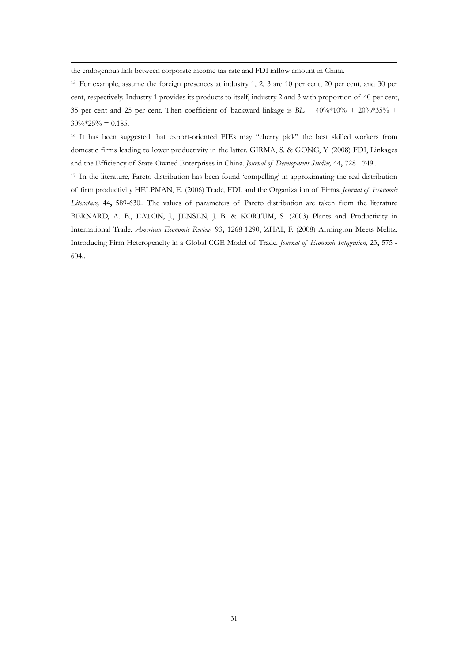the endogenous link between corporate income tax rate and FDI inflow amount in China.

 $\overline{a}$ 

15 For example, assume the foreign presences at industry 1, 2, 3 are 10 per cent, 20 per cent, and 30 per cent, respectively. Industry 1 provides its products to itself, industry 2 and 3 with proportion of 40 per cent, 35 per cent and 25 per cent. Then coefficient of backward linkage is *BL* = 40%\*10% + 20%\*35% +  $30\%$ \*25% = 0.185.

<sup>16</sup> It has been suggested that export-oriented FIEs may "cherry pick" the best skilled workers from domestic firms leading to lower productivity in the latter. GIRMA, S. & GONG, Y. (2008) FDI, Linkages and the Efficiency of State-Owned Enterprises in China. *Journal of Development Studies,* 44**,** 728 - 749..

17 In the literature, Pareto distribution has been found 'compelling' in approximating the real distribution of firm productivity HELPMAN, E. (2006) Trade, FDI, and the Organization of Firms. *Journal of Economic Literature,* 44**,** 589-630.. The values of parameters of Pareto distribution are taken from the literature BERNARD, A. B., EATON, J., JENSEN, J. B. & KORTUM, S. (2003) Plants and Productivity in International Trade. *American Economic Review,* 93**,** 1268-1290, ZHAI, F. (2008) Armington Meets Melitz: Introducing Firm Heterogeneity in a Global CGE Model of Trade. *Journal of Economic Integration,* 23**,** 575 - 604..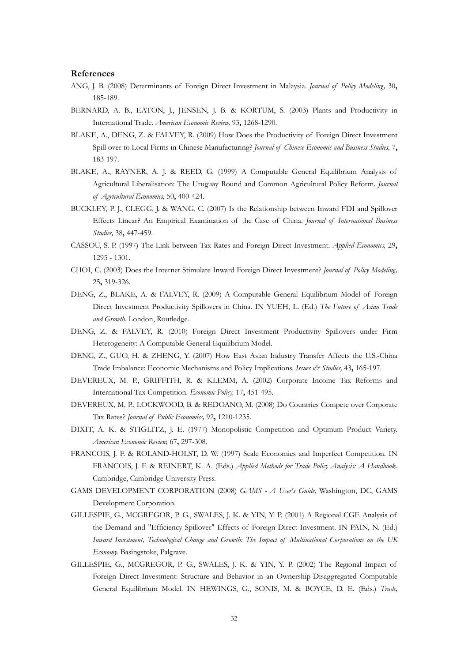#### **References**

- ANG, J. B. (2008) Determinants of Foreign Direct Investment in Malaysia. *Journal of Policy Modeling,* 30**,** 185-189.
- BERNARD, A. B., EATON, J., JENSEN, J. B. & KORTUM, S. (2003) Plants and Productivity in International Trade. *American Economic Review,* 93**,** 1268-1290.
- BLAKE, A., DENG, Z. & FALVEY, R. (2009) How Does the Productivity of Foreign Direct Investment Spill over to Local Firms in Chinese Manufacturing? *Journal of Chinese Economic and Business Studies,* 7**,** 183-197.
- BLAKE, A., RAYNER, A. J. & REED, G. (1999) A Computable General Equilibrium Analysis of Agricultural Liberalisation: The Uruguay Round and Common Agricultural Policy Reform. *Journal of Agricultural Economics,* 50**,** 400-424.
- BUCKLEY, P. J., CLEGG, J. & WANG, C. (2007) Is the Relationship between Inward FDI and Spillover Effects Linear? An Empirical Examination of the Case of China. *Journal of International Business Studies,* 38**,** 447-459.
- CASSOU, S. P. (1997) The Link between Tax Rates and Foreign Direct Investment. *Applied Economics,* 29**,** 1295 - 1301.
- CHOI, C. (2003) Does the Internet Stimulate Inward Foreign Direct Investment? *Journal of Policy Modeling,* 25**,** 319-326.
- DENG, Z., BLAKE, A. & FALVEY, R. (2009) A Computable General Equilibrium Model of Foreign Direct Investment Productivity Spillovers in China. IN YUEH, L. (Ed.) *The Future of Asian Trade and Growth.* London, Routledge.
- DENG, Z. & FALVEY, R. (2010) Foreign Direct Investment Productivity Spillovers under Firm Heterogeneity: A Computable General Equilibrium Model.
- DENG, Z., GUO, H. & ZHENG, Y. (2007) How East Asian Industry Transfer Affects the U.S.-China Trade Imbalance: Economic Mechanisms and Policy Implications. *Issues & Studies,* 43**,** 165-197.
- DEVEREUX, M. P., GRIFFITH, R. & KLEMM, A. (2002) Corporate Income Tax Reforms and International Tax Competition. *Economic Policy,* 17**,** 451-495.
- DEVEREUX, M. P., LOCKWOOD, B. & REDOANO, M. (2008) Do Countries Compete over Corporate Tax Rates? *Journal of Public Economics,* 92**,** 1210-1235.
- DIXIT, A. K. & STIGLITZ, J. E. (1977) Monopolistic Competition and Optimum Product Variety. *American Economic Review,* 67**,** 297-308.
- FRANCOIS, J. F. & ROLAND-HOLST, D. W. (1997) Scale Economies and Imperfect Competition. IN FRANCOIS, J. F. & REINERT, K. A. (Eds.) *Applied Methods for Trade Policy Analysis: A Handbook.*  Cambridge, Cambridge University Press.
- GAMS DEVELOPMENT CORPORATION (2008) *GAMS A User's Guide,* Washington, DC, GAMS Development Corporation.
- GILLESPIE, G., MCGREGOR, P. G., SWALES, J. K. & YIN, Y. P. (2001) A Regional CGE Analysis of the Demand and "Efficiency Spillover" Effects of Foreign Direct Investment. IN PAIN, N. (Ed.) *Inward Investment, Technological Change and Growth: The Impact of Multinational Corporations on the UK Economy.* Basingstoke, Palgrave.
- GILLESPIE, G., MCGREGOR, P. G., SWALES, J. K. & YIN, Y. P. (2002) The Regional Impact of Foreign Direct Investment: Structure and Behavior in an Ownership-Disaggregated Computable General Equilibrium Model. IN HEWINGS, G., SONIS, M. & BOYCE, D. E. (Eds.) *Trade,*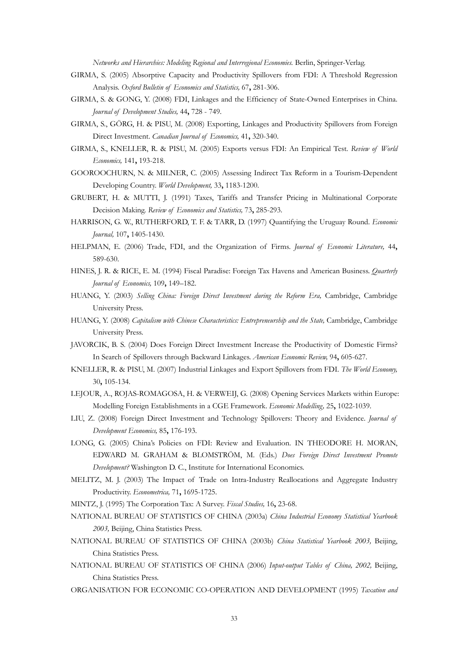*Networks and Hierarchies: Modeling Regional and Interregional Economies.* Berlin, Springer-Verlag.

- GIRMA, S. (2005) Absorptive Capacity and Productivity Spillovers from FDI: A Threshold Regression Analysis. *Oxford Bulletin of Economics and Statistics,* 67**,** 281-306.
- GIRMA, S. & GONG, Y. (2008) FDI, Linkages and the Efficiency of State-Owned Enterprises in China. *Journal of Development Studies,* 44**,** 728 - 749.
- GIRMA, S., GÖRG, H. & PISU, M. (2008) Exporting, Linkages and Productivity Spillovers from Foreign Direct Investment. *Canadian Journal of Economics,* 41**,** 320-340.
- GIRMA, S., KNELLER, R. & PISU, M. (2005) Exports versus FDI: An Empirical Test. *Review of World Economics,* 141**,** 193-218.
- GOOROOCHURN, N. & MILNER, C. (2005) Assessing Indirect Tax Reform in a Tourism-Dependent Developing Country. *World Development,* 33**,** 1183-1200.
- GRUBERT, H. & MUTTI, J. (1991) Taxes, Tariffs and Transfer Pricing in Multinational Corporate Decision Making. *Review of Economics and Statistics,* 73**,** 285-293.
- HARRISON, G. W., RUTHERFORD, T. F. & TARR, D. (1997) Quantifying the Uruguay Round. *Economic Journal,* 107**,** 1405-1430.
- HELPMAN, E. (2006) Trade, FDI, and the Organization of Firms. *Journal of Economic Literature,* 44**,** 589-630.
- HINES, J. R. & RICE, E. M. (1994) Fiscal Paradise: Foreign Tax Havens and American Business. *Quarterly Journal of Economics,* 109**,** 149–182.
- HUANG, Y. (2003) *Selling China: Foreign Direct Investment during the Reform Era, Cambridge, Cambridge* University Press.
- HUANG, Y. (2008) *Capitalism with Chinese Characteristics: Entrepreneurship and the State*, Cambridge, Cambridge University Press.
- JAVORCIK, B. S. (2004) Does Foreign Direct Investment Increase the Productivity of Domestic Firms? In Search of Spillovers through Backward Linkages. *American Economic Review,* 94**,** 605-627.
- KNELLER, R. & PISU, M. (2007) Industrial Linkages and Export Spillovers from FDI. *The World Economy,* 30**,** 105-134.
- LEJOUR, A., ROJAS-ROMAGOSA, H. & VERWEIJ, G. (2008) Opening Services Markets within Europe: Modelling Foreign Establishments in a CGE Framework. *Economic Modelling,* 25**,** 1022-1039.
- LIU, Z. (2008) Foreign Direct Investment and Technology Spillovers: Theory and Evidence. *Journal of Development Economics,* 85**,** 176-193.
- LONG, G. (2005) China's Policies on FDI: Review and Evaluation. IN THEODORE H. MORAN, EDWARD M. GRAHAM & BLOMSTRÖM, M. (Eds.) *Does Foreign Direct Investment Promote Development?* Washington D. C., Institute for International Economics.
- MELITZ, M. J. (2003) The Impact of Trade on Intra-Industry Reallocations and Aggregate Industry Productivity. *Econometrica,* 71**,** 1695-1725.

MINTZ, J. (1995) The Corporation Tax: A Survey. *Fiscal Studies,* 16**,** 23-68.

- NATIONAL BUREAU OF STATISTICS OF CHINA (2003a) *China Industrial Economy Statistical Yearbook 2003,* Beijing, China Statistics Press.
- NATIONAL BUREAU OF STATISTICS OF CHINA (2003b) *China Statistical Yearbook 2003,* Beijing, China Statistics Press.
- NATIONAL BUREAU OF STATISTICS OF CHINA (2006) *Input-output Tables of China, 2002,* Beijing, China Statistics Press.
- ORGANISATION FOR ECONOMIC CO-OPERATION AND DEVELOPMENT (1995) *Taxation and*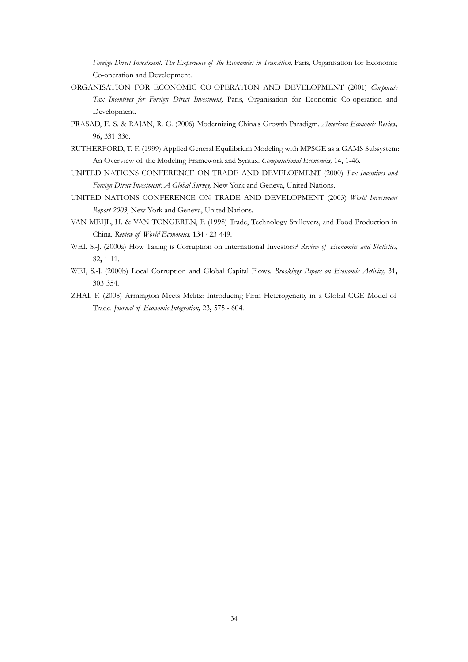*Foreign Direct Investment: The Experience of the Economies in Transition*, Paris, Organisation for Economic Co-operation and Development.

- ORGANISATION FOR ECONOMIC CO-OPERATION AND DEVELOPMENT (2001) *Corporate Tax Incentives for Foreign Direct Investment,* Paris, Organisation for Economic Co-operation and Development.
- PRASAD, E. S. & RAJAN, R. G. (2006) Modernizing China's Growth Paradigm. *American Economic Review,* 96**,** 331-336.
- RUTHERFORD, T. F. (1999) Applied General Equilibrium Modeling with MPSGE as a GAMS Subsystem: An Overview of the Modeling Framework and Syntax. *Computational Economics,* 14**,** 1-46.
- UNITED NATIONS CONFERENCE ON TRADE AND DEVELOPMENT (2000) *Tax Incentives and Foreign Direct Investment: A Global Survey,* New York and Geneva, United Nations.
- UNITED NATIONS CONFERENCE ON TRADE AND DEVELOPMENT (2003) *World Investment Report 2003,* New York and Geneva, United Nations.
- VAN MEIJL, H. & VAN TONGEREN, F. (1998) Trade, Technology Spillovers, and Food Production in China. *Review of World Economics,* 134 423-449.
- WEI, S.-J. (2000a) How Taxing is Corruption on International Investors? *Review of Economics and Statistics,* 82**,** 1-11.
- WEI, S.-J. (2000b) Local Corruption and Global Capital Flows. *Brookings Papers on Economic Activity,* 31**,** 303-354.
- ZHAI, F. (2008) Armington Meets Melitz: Introducing Firm Heterogeneity in a Global CGE Model of Trade. *Journal of Economic Integration,* 23**,** 575 - 604.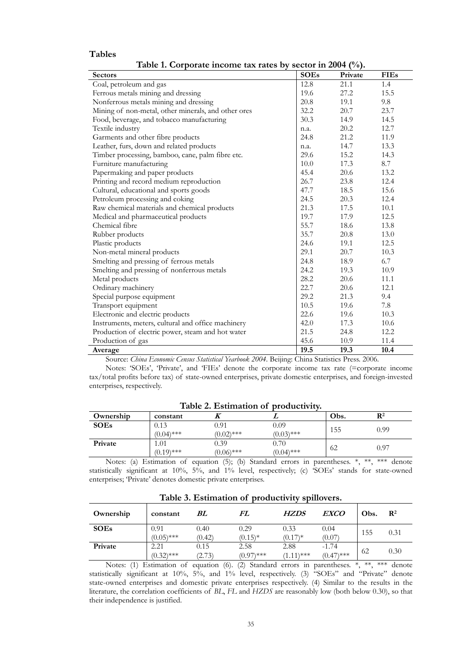#### **Tables**

**Table 1. Corporate income tax rates by sector in 2004 (%).** 

| <b>Sectors</b>                                      | <b>SOEs</b> | Private | <b>FIEs</b> |
|-----------------------------------------------------|-------------|---------|-------------|
| Coal, petroleum and gas                             | 12.8        | 21.1    | 1.4         |
| Ferrous metals mining and dressing                  | 19.6        | 27.2    | 15.5        |
| Nonferrous metals mining and dressing               | 20.8        | 19.1    | 9.8         |
| Mining of non-metal, other minerals, and other ores | 32.2        | 20.7    | 23.7        |
| Food, beverage, and tobacco manufacturing           | 30.3        | 14.9    | 14.5        |
| Textile industry                                    | n.a.        | 20.2    | 12.7        |
| Garments and other fibre products                   | 24.8        | 21.2    | 11.9        |
| Leather, furs, down and related products            | n.a.        | 14.7    | 13.3        |
| Timber processing, bamboo, cane, palm fibre etc.    | 29.6        | 15.2    | 14.3        |
| Furniture manufacturing                             | 10.0        | 17.3    | 8.7         |
| Papermaking and paper products                      | 45.4        | 20.6    | 13.2        |
| Printing and record medium reproduction             | 26.7        | 23.8    | 12.4        |
| Cultural, educational and sports goods              | 47.7        | 18.5    | 15.6        |
| Petroleum processing and coking                     | 24.5        | 20.3    | 12.4        |
| Raw chemical materials and chemical products        | 21.3        | 17.5    | 10.1        |
| Medical and pharmaceutical products                 | 19.7        | 17.9    | 12.5        |
| Chemical fibre                                      | 55.7        | 18.6    | 13.8        |
| Rubber products                                     | 35.7        | 20.8    | 13.0        |
| Plastic products                                    | 24.6        | 19.1    | 12.5        |
| Non-metal mineral products                          | 29.1        | 20.7    | 10.3        |
| Smelting and pressing of ferrous metals             | 24.8        | 18.9    | 6.7         |
| Smelting and pressing of nonferrous metals          | 24.2        | 19.3    | 10.9        |
| Metal products                                      | 28.2        | 20.6    | 11.1        |
| Ordinary machinery                                  | 22.7        | 20.6    | 12.1        |
| Special purpose equipment                           | 29.2        | 21.3    | 9.4         |
| Transport equipment                                 | 10.5        | 19.6    | 7.8         |
| Electronic and electric products                    | 22.6        | 19.6    | 10.3        |
| Instruments, meters, cultural and office machinery  | 42.0        | 17.3    | 10.6        |
| Production of electric power, steam and hot water   | 21.5        | 24.8    | 12.2        |
| Production of gas                                   | 45.6        | 10.9    | 11.4        |
| Average                                             | 19.5        | 19.3    | 10.4        |

Source: *China Economic Census Statistical Yearbook 2004*. Beijing: China Statistics Press. 2006.

 Notes: 'SOEs', 'Private', and 'FIEs' denote the corporate income tax rate (=corporate income tax/total profits before tax) of state-owned enterprises, private domestic enterprises, and foreign-invested enterprises, respectively.

| Ownership   | constant     |              |              | Obs. | $\mathbf{R}^2$ |  |
|-------------|--------------|--------------|--------------|------|----------------|--|
| <b>SOEs</b> | 0.13         | 0.91         | 0.09         | 155  | 0.99           |  |
|             | $(0.04)$ *** | $(0.02)$ *** | $(0.03)$ *** |      |                |  |
| Private     | 1.01         | 0.39         | 0.70         | 62   | 0.97           |  |
|             | $(0.19)$ *** | $(0.06)$ *** | $(0.04)$ *** |      |                |  |

**Table 2. Estimation of productivity.** 

 Notes: (a) Estimation of equation (5); (b) Standard errors in parentheses. \*, \*\*, \*\*\* denote statistically significant at 10%, 5%, and 1% level, respectively; (c) 'SOEs' stands for state-owned enterprises; 'Private' denotes domestic private enterprises.

| Ownership   | constant             | BL             | FL                   | <b>HZDS</b>          | <i>EXCO</i>             | Obs. | $\mathbf{R}^2$ |
|-------------|----------------------|----------------|----------------------|----------------------|-------------------------|------|----------------|
| <b>SOEs</b> | 0.91<br>$(0.05)$ *** | 0.40<br>(0.42) | 0.29<br>$(0.15)^*$   | 0.33<br>$(0.17)*$    | 0.04<br>(0.07)          | 155  | 0.31           |
| Private     | 2.21<br>$(0.32)$ *** | 0.15<br>(2.73) | 2.58<br>$(0.97)$ *** | 2.88<br>$(1.11)$ *** | $-1.74$<br>$(0.47)$ *** | 62   | 0.30           |

**Table 3. Estimation of productivity spillovers.** 

 Notes: (1) Estimation of equation (6). (2) Standard errors in parentheses. \*, \*\*, \*\*\* denote statistically significant at 10%, 5%, and 1% level, respectively. (3) "SOEs" and "Private" denote state-owned enterprises and domestic private enterprises respectively. (4) Similar to the results in the literature, the correlation coefficients of *BL*, *FL* and *HZDS* are reasonably low (both below 0.30), so that their independence is justified.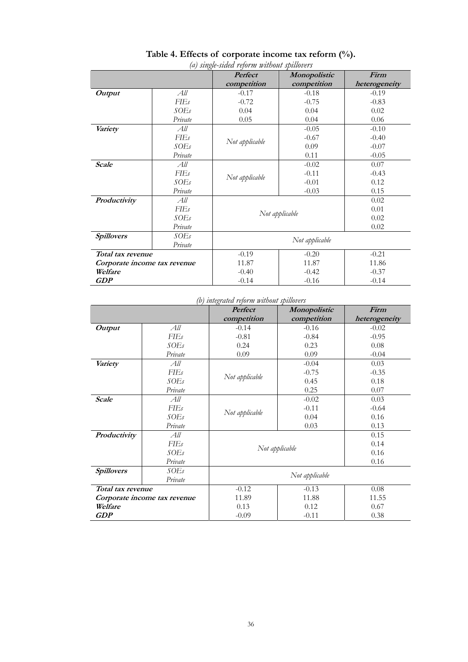| a) single-sidea refor <i>m wulood spillovers</i> |                              |                        |              |               |  |
|--------------------------------------------------|------------------------------|------------------------|--------------|---------------|--|
|                                                  |                              | <b>Perfect</b>         | Monopolistic | Firm          |  |
|                                                  |                              | competition            | competition  | heterogeneity |  |
| <b>Output</b>                                    | All                          | $-0.17$                | $-0.18$      | $-0.19$       |  |
|                                                  | FIEs                         | $-0.72$                | $-0.75$      | $-0.83$       |  |
|                                                  | <i>SOEs</i>                  | 0.04                   | 0.04         | 0.02          |  |
|                                                  | Private                      | 0.05                   | 0.04         | 0.06          |  |
| Variety                                          | All                          |                        | $-0.05$      | $-0.10$       |  |
|                                                  | FIEs                         | Not applicable         | $-0.67$      | $-0.40$       |  |
|                                                  | SOEs                         |                        | 0.09         | $-0.07$       |  |
|                                                  | Private                      |                        | 0.11         | $-0.05$       |  |
| <b>Scale</b>                                     | All                          |                        | $-0.02$      | 0.07          |  |
|                                                  | <b>FIEs</b>                  |                        | $-0.11$      | $-0.43$       |  |
|                                                  | SOEs                         | Not applicable         | $-0.01$      | 0.12          |  |
|                                                  | Private                      |                        | $-0.03$      | 0.15          |  |
| Productivity                                     | All                          | 0.02                   |              |               |  |
|                                                  | $F\!I\!E$ s                  | 0.01                   |              |               |  |
|                                                  | SOEs                         | Not applicable<br>0.02 |              |               |  |
|                                                  | Private                      |                        |              | 0.02          |  |
| <b>Spillovers</b>                                | SOEs                         |                        |              |               |  |
|                                                  | Private                      | Not applicable         |              |               |  |
|                                                  | Total tax revenue            |                        | $-0.20$      | $-0.21$       |  |
|                                                  | Corporate income tax revenue |                        | 11.87        | 11.86         |  |
| Welfare                                          |                              | $-0.40$                | $-0.42$      | $-0.37$       |  |
| <b>GDP</b>                                       |                              | $-0.14$                | $-0.16$      | $-0.14$       |  |

# **Table 4. Effects of corporate income tax reform (%).**

*(a) single-sided reform without spillovers*

*(b) integrated reform without spillovers* 

|                   |                              | $\circ$<br><b>Perfect</b>  | Monopolistic    | Firm          |  |
|-------------------|------------------------------|----------------------------|-----------------|---------------|--|
|                   |                              | competition                | competition     | heterogeneity |  |
| <b>Output</b>     | All                          | $-0.14$                    | $-0.16$         | $-0.02$       |  |
|                   | FIEs                         | $-0.81$                    | $-0.84$         | $-0.95$       |  |
|                   | SOEs                         | 0.24                       | 0.23            | 0.08          |  |
|                   | Private                      | 0.09                       | 0.09            | $-0.04$       |  |
| Variety           | All                          |                            | $-0.04$         | 0.03          |  |
|                   | <b>FIEs</b>                  |                            | $-0.75$         | $-0.35$       |  |
|                   | SOEs                         | Not applicable             | 0.45            | 0.18          |  |
|                   | Private                      |                            | 0.25            | 0.07          |  |
| <b>Scale</b>      | All                          |                            | $-0.02$         | 0.03          |  |
|                   | FIEs                         |                            | $-0.11$         | $-0.64$       |  |
|                   | SOEs                         | Not applicable             | 0.04            | 0.16          |  |
|                   | Private                      |                            | 0.03            | 0.13          |  |
| Productivity      | All                          | 0.15                       |                 |               |  |
|                   | $F\!I\!E$ s                  | 0.14                       |                 |               |  |
|                   | SOEs                         | Not applicable<br>$0.16\,$ |                 |               |  |
|                   | Private                      |                            |                 | 0.16          |  |
| <b>Spillovers</b> | SOEs                         |                            |                 |               |  |
|                   | Private                      | Not applicable             |                 |               |  |
| Total tax revenue |                              | $-0.12$                    | $-0.13$<br>0.08 |               |  |
|                   | Corporate income tax revenue | 11.89                      | 11.88<br>11.55  |               |  |
| Welfare           |                              | 0.13                       | 0.12            | 0.67          |  |
| <b>GDP</b>        |                              | $-0.09$                    | $-0.11$         | 0.38          |  |